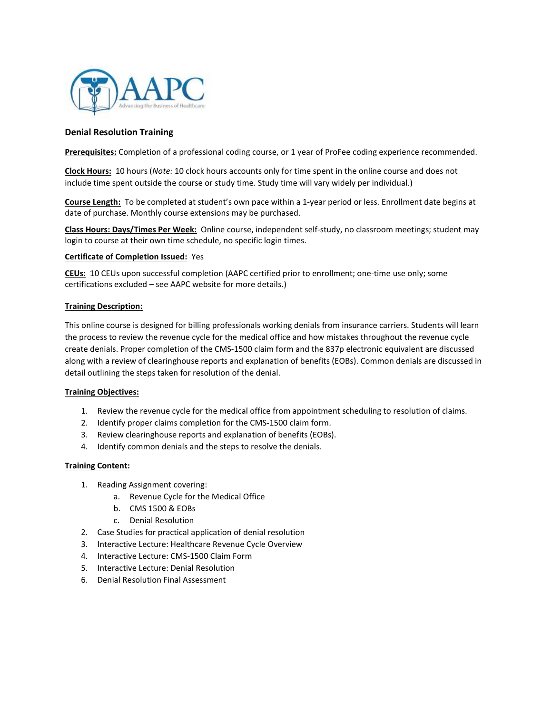

# Denial Resolution Training

Prerequisites: Completion of a professional coding course, or 1 year of ProFee coding experience recommended.

Clock Hours: 10 hours (Note: 10 clock hours accounts only for time spent in the online course and does not include time spent outside the course or study time. Study time will vary widely per individual.)

Course Length: To be completed at student's own pace within a 1-year period or less. Enrollment date begins at date of purchase. Monthly course extensions may be purchased.

Class Hours: Days/Times Per Week: Online course, independent self-study, no classroom meetings; student may login to course at their own time schedule, no specific login times.

#### Certificate of Completion Issued: Yes

CEUs: 10 CEUs upon successful completion (AAPC certified prior to enrollment; one-time use only; some certifications excluded – see AAPC website for more details.)

#### Training Description:

This online course is designed for billing professionals working denials from insurance carriers. Students will learn the process to review the revenue cycle for the medical office and how mistakes throughout the revenue cycle create denials. Proper completion of the CMS-1500 claim form and the 837p electronic equivalent are discussed along with a review of clearinghouse reports and explanation of benefits (EOBs). Common denials are discussed in detail outlining the steps taken for resolution of the denial.

#### Training Objectives:

- 1. Review the revenue cycle for the medical office from appointment scheduling to resolution of claims.
- 2. Identify proper claims completion for the CMS-1500 claim form.
- 3. Review clearinghouse reports and explanation of benefits (EOBs).
- 4. Identify common denials and the steps to resolve the denials.

#### Training Content:

- 1. Reading Assignment covering:
	- a. Revenue Cycle for the Medical Office
	- b. CMS 1500 & EOBs
	- c. Denial Resolution
- 2. Case Studies for practical application of denial resolution
- 3. Interactive Lecture: Healthcare Revenue Cycle Overview
- 4. Interactive Lecture: CMS-1500 Claim Form
- 5. Interactive Lecture: Denial Resolution
- 6. Denial Resolution Final Assessment